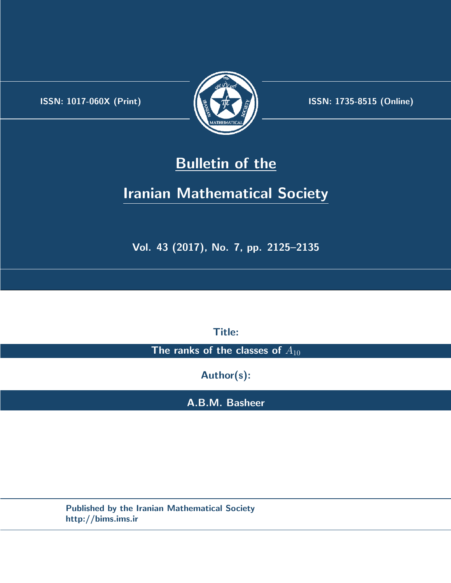.



**ISSN:** 1017-060X (Print)  $\left| \left( \frac{1}{2} \sum \frac{1}{k} \right) \right|$  **ISSN:** 1735-8515 (Online)

# **Bulletin of the**

# **Iranian Mathematical Society**

**Vol. 43 (2017), No. 7, pp. 2125–2135**

**Title:**

The ranks of the classes of  $A_{10}$ 

**Author(s):**

**A.B.M. Basheer**

**Published by the Iranian Mathematical Society http://bims.ims.ir**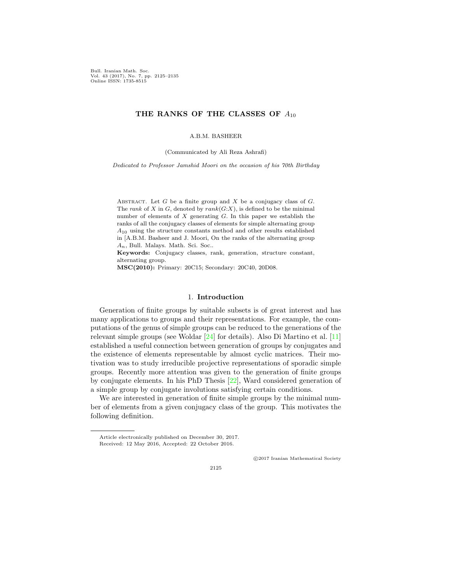Bull. Iranian Math. Soc. Vol. 43 (2017), No. 7, pp. 2125–2135 Online ISSN: 1735-8515

# **THE RANKS OF THE CLASSES OF** *A*<sup>10</sup>

A.B.M. BASHEER

(Communicated by Ali Reza Ashrafi)

*Dedicated to Professor Jamshid Moori on the occasion of his 70th Birthday*

ABSTRACT. Let  $G$  be a finite group and  $X$  be a conjugacy class of  $G$ . The *rank* of *X* in *G*, denoted by  $rank(G:X)$ , is defined to be the minimal number of elements of *X* generating *G.* In this paper we establish the ranks of all the conjugacy classes of elements for simple alternating group *A*<sup>10</sup> using the structure constants method and other results established in [A.B.M. Basheer and J. Moori, On the ranks of the alternating group *An*, Bull. Malays. Math. Sci. Soc..

**Keywords:** Conjugacy classes, rank, generation, structure constant, alternating group.

**MSC(2010):** Primary: 20C15; Secondary: 20C40, 20D08.

## 1. **Introduction**

Generation of finite groups by suitable subsets is of great interest and has many applications to groups and their representations. For example, the computations of the genus of simple groups can be reduced to the generations of the relevant simple groups (see Woldar [[24\]](#page-11-0) for details). Also Di Martino et al. [\[11](#page-10-0)] established a useful connection between generation of groups by conjugates and the existence of elements representable by almost cyclic matrices. Their motivation was to study irreducible projective representations of sporadic simple groups. Recently more attention was given to the generation of finite groups by conjugate elements. In his PhD Thesis [[22\]](#page-11-1), Ward considered generation of a simple group by conjugate involutions satisfying certain conditions.

We are interested in generation of finite simple groups by the minimal number of elements from a given conjugacy class of the group. This motivates the following definition.

*⃝*c 2017 Iranian Mathematical Society

Article electronically published on December 30, 2017. Received: 12 May 2016, Accepted: 22 October 2016.

<sup>2125</sup>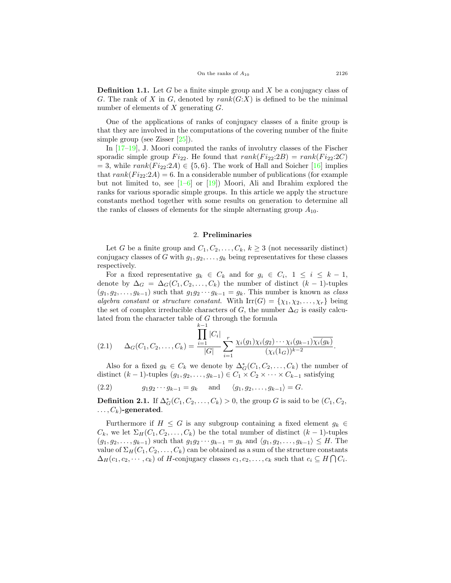**Definition 1.1.** Let *G* be a finite simple group and *X* be a conjugacy class of *G.* The rank of *X* in *G,* denoted by *rank*(*G*:*X*) is defined to be the minimal number of elements of *X* generating *G.*

One of the applications of ranks of conjugacy classes of a finite group is that they are involved in the computations of the covering number of the finite simple group (see Zisser [[25](#page-11-2)]).

In  $[17-19]$  $[17-19]$  $[17-19]$ , J. Moori computed the ranks of involutry classes of the Fischer sporadic simple group  $Fi_{22}$ . He found that  $rank(F_{i22}:2B) = rank(F_{i22}:2C)$  $= 3$ , while  $rank(F_{i22}:2A) \in \{5,6\}$ . The work of Hall and Soicher [\[16](#page-11-5)] implies that  $rank(F_{i22}:2A) = 6$ . In a considerable number of publications (for example but not limited to, see  $[1-6]$  $[1-6]$  or  $[19]$  $[19]$ ) Moori, Ali and Ibrahim explored the ranks for various sporadic simple groups. In this article we apply the structure constants method together with some results on generation to determine all the ranks of classes of elements for the simple alternating group  $A_{10}$ .

#### 2. **Preliminaries**

<span id="page-2-1"></span>Let *G* be a finite group and  $C_1, C_2, \ldots, C_k, k \geq 3$  (not necessarily distinct) conjugacy classes of *G* with  $g_1, g_2, \ldots, g_k$  being representatives for these classes respectively.

For a fixed representative  $g_k \in C_k$  and for  $g_i \in C_i$ ,  $1 \leq i \leq k-1$ , denote by  $\Delta_G = \Delta_G(C_1, C_2, \ldots, C_k)$  the number of distinct  $(k-1)$ -tuples  $(g_1, g_2, \ldots, g_{k-1})$  such that  $g_1 g_2 \cdots g_{k-1} = g_k$ . This number is known as *class algebra constant* or *structure constant*. With  $\text{Irr}(G) = \{\chi_1, \chi_2, \ldots, \chi_r\}$  being the set of complex irreducible characters of *G*, the number  $\Delta_G$  is easily calculated from the character table of *G* through the formula

$$
(2.1) \qquad \Delta_G(C_1, C_2, \ldots, C_k) = \frac{\prod_{i=1}^{k-1} |C_i|}{|G|} \sum_{i=1}^r \frac{\chi_i(g_1)\chi_i(g_2)\cdots\chi_i(g_{k-1})\overline{\chi_i(g_k)}}{(\chi_i(1_G))^{k-2}}.
$$

Also for a fixed  $g_k \in C_k$  we denote by  $\Delta_G^*(C_1, C_2, \ldots, C_k)$  the number of distinct  $(k − 1)$ -tuples  $(g_1, g_2, \ldots, g_{k-1}) \in C_1 \times C_2 \times \cdots \times C_{k-1}$  satisfying

<span id="page-2-0"></span>(2.2)  $g_1 g_2 \cdots g_{k-1} = g_k$  and  $\langle g_1, g_2, \ldots, g_{k-1} \rangle = G.$ 

**Definition 2.1.** If  $\Delta_G^*(C_1, C_2, \ldots, C_k) > 0$ , the group *G* is said to be  $(C_1, C_2,$  $\ldots$ ,  $C_k$ )-generated.

Furthermore if  $H \leq G$  is any subgroup containing a fixed element  $g_k \in$  $C_k$ , we let  $\Sigma_H(C_1, C_2, \ldots, C_k)$  be the total number of distinct  $(k-1)$ -tuples  $(g_1, g_2, \ldots, g_{k-1})$  such that  $g_1 g_2 \cdots g_{k-1} = g_k$  and  $\langle g_1, g_2, \ldots, g_{k-1} \rangle \leq H$ . The value of  $\Sigma_H(C_1, C_2, \ldots, C_k)$  can be obtained as a sum of the structure constants  $\Delta_H(c_1, c_2, \cdots, c_k)$  of *H*-conjugacy classes  $c_1, c_2, \ldots, c_k$  such that  $c_i \subseteq H \cap C_i$ .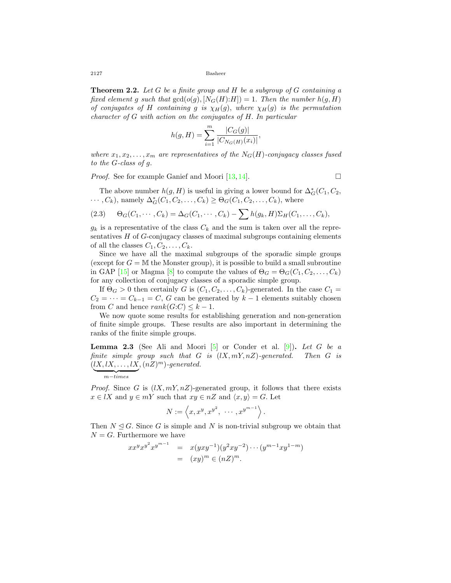**Theorem 2.2.** *Let G be a finite group and H be a subgroup of G containing a fixed element g such that*  $gcd(o(g), [N_G(H):H]) = 1$ *. Then the number*  $h(g, H)$ *of conjugates of H containing g is*  $\chi$ <sup>*H*</sup>(*g*)*, where*  $\chi$ <sup>*H*</sup>(*g*) *is the permutation character of G with action on the conjugates of H. In particular*

$$
h(g, H) = \sum_{i=1}^{m} \frac{|C_G(g)|}{|C_{N_G(H)}(x_i)|},
$$

*where*  $x_1, x_2, \ldots, x_m$  *are representatives of the*  $N_G(H)$ *-conjugacy classes fused to the G-class of g.*

*Proof.* See for example Ganief and Moori [[13,](#page-10-3) [14\]](#page-10-4). □

The above number  $h(g, H)$  is useful in giving a lower bound for  $\Delta_G^*(C_1, C_2,$  $\cdots$ ,  $C_k$ ), namely  $\Delta_G^*(C_1, C_2, \ldots, C_k) \ge \Theta_G(C_1, C_2, \ldots, C_k)$ , where

(2.3) 
$$
\Theta_G(C_1,\cdots,C_k)=\Delta_G(C_1,\cdots,C_k)-\sum h(g_k,H)\Sigma_H(C_1,\ldots,C_k),
$$

 $g_k$  is a representative of the class  $C_k$  and the sum is taken over all the representatives *H* of *G*-conjugacy classes of maximal subgroups containing elements of all the classes  $C_1, C_2, \ldots, C_k$ .

Since we have all the maximal subgroups of the sporadic simple groups (except for  $G = M$  the Monster group), it is possible to build a small subroutine in GAP [[15\]](#page-11-6) or Magma [[8\]](#page-10-5) to compute the values of  $\Theta_G = \Theta_G(C_1, C_2, \ldots, C_k)$ for any collection of conjugacy classes of a sporadic simple group.

If  $\Theta_G > 0$  then certainly *G* is  $(C_1, C_2, \ldots, C_k)$ -generated. In the case  $C_1 =$  $C_2 = \cdots = C_{k-1} = C$ , *G* can be generated by  $k-1$  elements suitably chosen from *C* and hence  $rank(G:C) \leq k-1$ .

We now quote some results for establishing generation and non-generation of finite simple groups. These results are also important in determining the ranks of the finite simple groups.

<span id="page-3-0"></span>**Lemma 2.3** (See Ali and Moori  $[5]$  $[5]$  or Conder et al.  $[9]$  $[9]$ ). Let G be a *finite simple group such that G is* (*lX, mY, nZ*)*-generated. Then G is*  $(lX, lX, \ldots, lX, (nZ)^m)$ -generated.

*Proof.* Since *G* is  $(lX, mY, nZ)$ -generated group, it follows that there exists  $x \in \mathit{IX}$  and  $y \in mY$  such that  $xy \in nZ$  and  $\langle x, y \rangle = G$ . Let

$$
N := \left\langle x, x^y, x^{y^2}, \cdots, x^{y^{m-1}} \right\rangle.
$$

Then  $N \triangleleft G$ . Since G is simple and N is non-trivial subgroup we obtain that  $N = G$ . Furthermore we have

$$
xx^y x^{y^2} x^{y^{m-1}} = x(yxy^{-1})(y^2xy^{-2}) \cdots (y^{m-1}xy^{1-m})
$$
  
=  $(xy)^m \in (nZ)^m$ .

<sup>|</sup> {z } *m−times*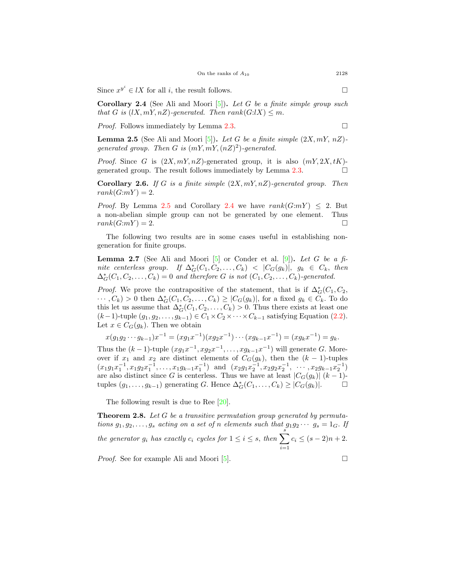Since  $x^{y^i} \in lX$  for all *i*, the result follows.  $\Box$ 

<span id="page-4-1"></span>**Corollary 2.4** (See Ali and Moori [\[5](#page-10-6)])**.** *Let G be a finite simple group such that G is* ( $lX, mY, nZ$ )-generated. Then  $rank(G: lX) \leq m$ .

*Proof.* Follows immediately by Lemma  $2.3$ .

<span id="page-4-0"></span>**Lemma 2.5** (See Ali and Moori [\[5](#page-10-6)]). Let G be a finite simple  $(2X, mY, nZ)$ *generated group. Then G is* (*mY, mY,*(*nZ*) 2 )*-generated.*

*Proof.* Since *G* is  $(2X, mY, nZ)$ -generated group, it is also  $(mY, 2X, tK)$ -generated group. The result follows immediately by Lemma [2.3](#page-3-0).  $\Box$ 

<span id="page-4-2"></span>**Corollary 2.6.** *If G is a finite simple* (2*X, mY, nZ*)*-generated group. Then*  $rank(G:mY) = 2.$ 

*Proof.* By Lemma [2.5](#page-4-0) and Corollary [2.4](#page-4-1) we have  $rank(G:mY) < 2$ . But a non-abelian simple group can not be generated by one element. Thus  $rank(G:mY) = 2.$ 

The following two results are in some cases useful in establishing nongeneration for finite groups.

**Lemma 2.7** (See Ali and Moori  $[5]$  $[5]$  or Conder et al.  $[9]$  $[9]$ ). Let G be a fi- $\text{infinite}$  centerless group. If  $\Delta_G^*(C_1, C_2, \ldots, C_k) \leq |C_G(g_k)|, \ g_k \in C_k, \ \text{then}$  $\Delta_G^*(C_1, C_2, \ldots, C_k) = 0$  and therefore *G* is not  $(C_1, C_2, \ldots, C_k)$ -generated.

*Proof.* We prove the contrapositive of the statement, that is if  $\Delta_G^*(C_1, C_2,$  $\cdots, C_k$ ) > 0 then  $\Delta_G^*(C_1, C_2, \ldots, C_k) \geq |C_G(g_k)|$ , for a fixed  $g_k \in C_k$ . To do this let us assume that  $\Delta_G^*(C_1, C_2, \ldots, C_k) > 0$ . Thus there exists at least one  $(k-1)$ -tuple  $(g_1, g_2, \ldots, g_{k-1})$  ∈  $C_1 \times C_2 \times \cdots \times C_{k-1}$  satisfying Equation ([2.2\)](#page-2-0). Let  $x \in C_G(g_k)$ . Then we obtain

 $x(g_1g_2\cdots g_{k-1})x^{-1} = (xg_1x^{-1})(xg_2x^{-1})\cdots (xg_{k-1}x^{-1}) = (xg_kx^{-1}) = g_k.$ 

Thus the  $(k-1)$ -tuple  $(xg_1x^{-1}, xg_2x^{-1}, \ldots, xg_{k-1}x^{-1})$  will generate *G*. Moreover if  $x_1$  and  $x_2$  are distinct elements of  $C_G(g_k)$ , then the  $(k-1)$ -tuples  $(x_1g_1x_1^{-1}, x_1g_2x_1^{-1}, \ldots, x_1g_{k-1}x_1^{-1})$  and  $(x_2g_1x_2^{-1}, x_2g_2x_2^{-1}, \ldots, x_2g_{k-1}x_2^{-1})$ are also distinct since *G* is centerless. Thus we have at least  $|C_G(g_k)|$   $(k-1)$ tuples  $(g_1, \ldots, g_{k-1})$  generating *G*. Hence  $\Delta_G^*(C_1, \ldots, C_k) \geq |C_G(g_k)|$ . □

The following result is due to Ree [[20\]](#page-11-7).

**Theorem 2.8.** *Let G be a transitive permutation group generated by permutations*  $g_1, g_2, \ldots, g_s$  *acting on a set of n elements such that*  $g_1g_2 \cdots g_s = 1_G$ *. If the generator*  $g_i$  *has exactly*  $c_i$  *cycles for*  $1 \leq i \leq s$ *, then*  $\sum_{i=1}^{s}$ *i*=1  $c_i \le (s-2)n + 2.$ 

*Proof.* See for example Ali and Moori  $[5]$  $[5]$ .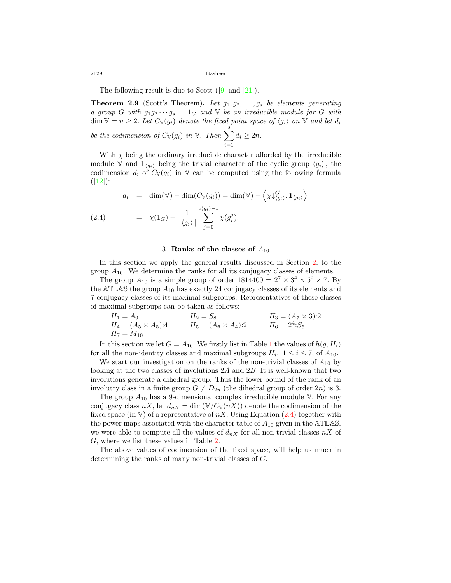The following result is due to Scott  $([9] \text{ and } [21])$  $([9] \text{ and } [21])$  $([9] \text{ and } [21])$  $([9] \text{ and } [21])$  $([9] \text{ and } [21])$ .

<span id="page-5-1"></span>**Theorem 2.9** (Scott's Theorem)**.** *Let g*1*, g*2*, . . . , g<sup>s</sup> be elements generating a group G with*  $g_1 g_2 \cdots g_s = 1_G$  *and*  $\nabla$  *be an irreducible module for G with* dim  $\mathbb{V} = n \geq 2$ *. Let*  $C_{\mathbb{V}}(g_i)$  denote the fixed point space of  $\langle g_i \rangle$  on  $\mathbb{V}$  and let  $d_i$ *be the codimension of*  $C_{\mathbb{V}}(g_i)$  *in*  $\mathbb{V}$ *. Then*  $\sum^s$  $d_i \geq 2n$ .

With  $\chi$  being the ordinary irreducible character afforded by the irreducible module V and  $\mathbf{1}_{\langle g_i \rangle}$  being the trivial character of the cyclic group  $\langle g_i \rangle$ , the codimension  $d_i$  of  $C_V(g_i)$  in V can be computed using the following formula  $([12])$  $([12])$  $([12])$ :

*i*=1

<span id="page-5-0"></span>
$$
d_i = \dim(\mathbb{V}) - \dim(C_{\mathbb{V}}(g_i)) = \dim(\mathbb{V}) - \left\langle \chi \downarrow_{\langle g_i \rangle}^G, \mathbf{1}_{\langle g_i \rangle} \right\rangle
$$
  
(2.4) 
$$
= \chi(1_G) - \frac{1}{|\langle g_i \rangle|} \sum_{j=0}^{o(g_i)-1} \chi(g_i^j).
$$

## 3. **Ranks of the classes of** *A*<sup>10</sup>

In this section we apply the general results discussed in Section [2](#page-2-1), to the group  $A_{10}$ . We determine the ranks for all its conjugacy classes of elements.

The group  $A_{10}$  is a simple group of order  $1814400 = 2^7 \times 3^4 \times 5^2 \times 7$ . By the ATLAS the group  $A_{10}$  has exactly 24 conjugacy classes of its elements and 7 conjugacy classes of its maximal subgroups. Representatives of these classes of maximal subgroups can be taken as follows:

$$
H_1 = A_9
$$
  
\n
$$
H_4 = (A_5 \times A_5):4
$$
  
\n
$$
H_5 = (A_6 \times A_4):2
$$
  
\n
$$
H_6 = 2^4: S_5
$$
  
\n
$$
H_7 = M_{10}
$$

In this section we let  $G = A_{10}$  $G = A_{10}$  $G = A_{10}$ . We firstly list in Table 1 the values of  $h(g, H_i)$ for all the non-identity classes and maximal subgroups  $H_i$ ,  $1 \le i \le 7$ , of  $A_{10}$ .

We start our investigation on the ranks of the non-trivial classes of  $A_{10}$  by looking at the two classes of involutions 2*A* and 2*B.* It is well-known that two involutions generate a dihedral group. Thus the lower bound of the rank of an involutry class in a finite group  $G \neq D_{2n}$  (the dihedral group of order 2*n*) is 3.

The group *A*<sup>10</sup> has a 9-dimensional complex irreducible module V*.* For any conjugacy class  $nX$ , let  $d_{nX} = \dim(\mathbb{V}/C_{\mathbb{V}}(nX))$  denote the codimension of the fixed space (in V) of a representative of  $nX$ . Using Equation ([2.4\)](#page-5-0) together with the power maps associated with the character table of *A*<sup>10</sup> given in the ATLAS*,* we were able to compute all the values of  $d_{nX}$  for all non-trivial classes  $nX$  of *G,* where we list these values in Table [2](#page-6-1).

The above values of codimension of the fixed space, will help us much in determining the ranks of many non-trivial classes of *G.*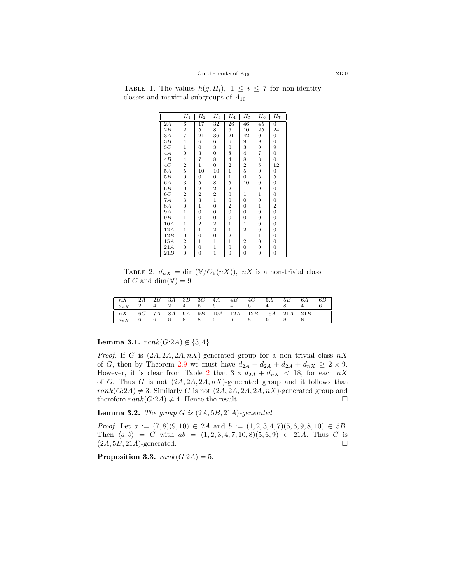| TABLE 1. The values $h(g, H_i)$ , $1 \leq i \leq 7$ for non-identity |  |
|----------------------------------------------------------------------|--|
| classes and maximal subgroups of $A_{10}$                            |  |
|                                                                      |  |

<span id="page-6-0"></span>

|                 | $H_1$                                         | $H_2$                   | $H_3$                   | $H_4$                   | $H_5$                   | $H_6$            | $H_7$            |
|-----------------|-----------------------------------------------|-------------------------|-------------------------|-------------------------|-------------------------|------------------|------------------|
| $\overline{2A}$ | $\overline{6}$                                | $\overline{17}$         | $\overline{32}$         | 26                      | 46                      | 45               | $\overline{0}$   |
| 2B              | $\frac{2}{7}$                                 | 5                       | 8                       | 6                       | 10                      | 25               | 24               |
| 3А              |                                               | 21                      | 36                      | 21                      | 42                      | 0                | $\boldsymbol{0}$ |
| 3B              | $\overline{\mathbf{4}}$                       | 6                       | 6                       | $\,6$                   | 9                       | 9                | 0                |
| 3C              | $\mathbf{1}$                                  | $\boldsymbol{0}$        | 3                       | $\boldsymbol{0}$        | 3                       | $\boldsymbol{0}$ | 9                |
| 4A              | 0                                             | 3                       | 0                       | 8                       | $\overline{\mathbf{4}}$ | 7                | 0                |
| 4B              | $\overline{\mathbf{4}}$                       | 7                       | 8                       | $\overline{\mathbf{4}}$ | 8                       | 3                | $\boldsymbol{0}$ |
| $4\,$           | $\overline{\mathbf{c}}$                       | $\mathbf{1}$            | 0                       | $\overline{\mathbf{2}}$ | $\boldsymbol{2}$        | $\bf 5$          | 12               |
| $5\,A$          | $\overline{5}$                                | 10                      | 10                      | $\mathbf{1}$            | $\overline{5}$          | $\boldsymbol{0}$ | $\boldsymbol{0}$ |
| 5B              | 0                                             | 0                       | 0                       | $\mathbf 1$             | $\boldsymbol{0}$        | $\bf 5$          | 5                |
| 6A              | 3                                             | 5                       | 8                       | $\overline{5}$          | 10                      | 0                | $\boldsymbol{0}$ |
| 6 B             | 0                                             | $\overline{\mathbf{2}}$ | $\,2$                   | $\overline{\mathbf{2}}$ | 1                       | 9                | $\boldsymbol{0}$ |
| 6C              | $\overline{\mathbf{2}}$                       | $\overline{\mathbf{2}}$ | $\overline{\mathbf{2}}$ | $\boldsymbol{0}$        | $\mathbf 1$             | $\,1$            | $\boldsymbol{0}$ |
| 7A              | 3                                             | 3                       | $\mathbf 1$             | $\boldsymbol{0}$        | 0                       | $\boldsymbol{0}$ | $\boldsymbol{0}$ |
| 8A              | $\overline{0}$                                | $\mathbf{1}$            | $\overline{0}$          | $\boldsymbol{2}$        | 0                       | $\,1$            | $\boldsymbol{2}$ |
| 9A              | $\mathbf 1$                                   | $\boldsymbol{0}$        | 0                       | $\boldsymbol{0}$        | $\boldsymbol{0}$        | $\boldsymbol{0}$ | $\boldsymbol{0}$ |
| 9B              | $\mathbf{1}$                                  | 0                       | 0                       | $\boldsymbol{0}$        | 0                       | $\boldsymbol{0}$ | $\boldsymbol{0}$ |
| 10A             | $\mathbf{1}$                                  | $\overline{2}$          | $\overline{\mathbf{2}}$ | $\mathbf 1$             | $\mathbf 1$             | $\boldsymbol{0}$ | $\boldsymbol{0}$ |
| 12A             | $\mathbf 1$                                   | $\mathbf{1}$            | $\overline{\mathbf{2}}$ | $\mathbf 1$             | $\overline{\mathbf{2}}$ | $\boldsymbol{0}$ | $\boldsymbol{0}$ |
| 12B             | $\overline{0}$                                | $\boldsymbol{0}$        | $\overline{0}$          | $\overline{\mathbf{2}}$ | $\mathbf{1}$            | $\,1$            | $\boldsymbol{0}$ |
| 15A             | $\begin{smallmatrix} 2 \ 0 \end{smallmatrix}$ | $\,1$                   | $\mathbf 1$             | $\mathbf 1$             | $\boldsymbol{2}$        | $\boldsymbol{0}$ | 0                |
| 21A             |                                               | $\boldsymbol{0}$        | $\mathbf{1}$            | $\overline{0}$          | $\overline{0}$          | $\boldsymbol{0}$ | $\boldsymbol{0}$ |
| 21B             | 0                                             | $\boldsymbol{0}$        | $\mathbf 1$             | $\boldsymbol{0}$        | 0                       | $\boldsymbol{0}$ | $\boldsymbol{0}$ |

<span id="page-6-1"></span>TABLE 2.  $d_{nX} = \dim(\mathbb{V}/C_{\mathbb{V}}(nX))$ ,  $nX$  is a non-trivial class of *G* and dim( $V$ ) = 9

| $\begin{array}{ c ccccccccccccccc }\hline nX&2A&2B&3A&3B&3C&4A&4B&4C&5A&5B&6A&6B\\ \hline d_{nX}&2&4&2&4&6&6&4&6&4&8&4&6\\ \hline \end{array}$ |  |  |  |  |  |  |
|------------------------------------------------------------------------------------------------------------------------------------------------|--|--|--|--|--|--|
| $\begin{array}{ c ccccccccccccccc }\hline nX&6C&7A&8A&9A&9B&10A&12A&12B&15A&21A&21B\\ \hline d_{nX}&6&6&8&8&6&6&8&6&8&8\\ \hline \end{array}$  |  |  |  |  |  |  |

<span id="page-6-3"></span>**Lemma 3.1.**  $rank(G:2A) \notin \{3, 4\}$ *.* 

*Proof.* If *G* is  $(2A, 2A, 2A, nX)$ -generated group for a non trivial class  $nX$ of *G*, then by Theorem [2.9](#page-5-1) we must have  $d_{2A} + d_{2A} + d_{2A} + d_{nX} \geq 2 \times 9$ . However, it is clear from Table [2](#page-6-1) that  $3 \times d_{2A} + d_{nX} < 18$ , for each  $nX$ of *G*. Thus *G* is not  $(2A, 2A, 2A, nX)$ -generated group and it follows that  $rank(G:2A) \neq 3$ . Similarly *G* is not  $(2A, 2A, 2A, 2A, nX)$ -generated group and therefore  $rank(G:2A) \neq 4$ . Hence the result. □

<span id="page-6-2"></span>**Lemma 3.2.** *The group G is* (2*A,* 5*B,* 21*A*)*-generated.*

*Proof.* Let *a* := (7*,* 8)(9*,* 10) *∈* 2*A* and *b* := (1*,* 2*,* 3*,* 4*,* 7)(5*,* 6*,* 9*,* 8*,* 10) *∈* 5*B.* Then  $\langle a, b \rangle = G$  with  $ab = (1, 2, 3, 4, 7, 10, 8)(5, 6, 9) \in 21A$ . Thus *G* is  $(2A, 5B, 21A)$ -generated. □

<span id="page-6-4"></span>**Proposition 3.3.**  $rank(G:2A) = 5$ .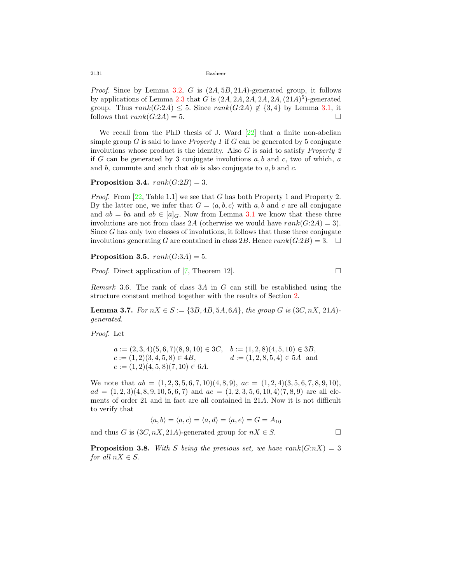*Proof.* Since by Lemma [3.2](#page-6-2), *G* is (2*A,* 5*B,* 21*A*)-generated group, it follows by applications of Lemma  $2.3$  that *G* is  $(2A, 2A, 2A, 2A, 2A, (21A)^5)$ -generated group. Thus  $rank(G:2A) \leq 5$ . Since  $rank(G:2A) \notin \{3,4\}$  by Lemma [3.1](#page-6-3), it follows that  $rank(G:2A) = 5$ .

We recall from the PhD thesis of J. Ward  $[22]$  $[22]$  that a finite non-abelian simple group  $G$  is said to have *Property 1* if  $G$  can be generated by 5 conjugate involutions whose product is the identity. Also *G* is said to satisfy *Property 2* if *G* can be generated by 3 conjugate involutions *a, b* and *c,* two of which, *a* and *b,* commute and such that *ab* is also conjugate to *a, b* and *c.*

### <span id="page-7-2"></span>**Proposition 3.4.**  $rank(G:2B) = 3$ .

*Proof.* From [[22,](#page-11-1) Table 1.1] we see that *G* has both Property 1 and Property 2. By the latter one, we infer that  $G = \langle a, b, c \rangle$  with  $a, b$  and  $c$  are all conjugate and  $ab = ba$  and  $ab \in [a]_G$ . Now from Lemma [3.1](#page-6-3) we know that these three involutions are not from class 2A (otherwise we would have  $rank(G:2A) = 3$ ). Since *G* has only two classes of involutions, it follows that these three conjugate involutions generating *G* are contained in class 2*B*. Hence  $rank(G:2B) = 3$ . □

<span id="page-7-3"></span>**Proposition 3.5.**  $rank(G:3A) = 5$ .

*Proof.* Direct application of [\[7](#page-10-9), Theorem 12].  $\Box$ 

*Remark* 3.6*.* The rank of class 3*A* in *G* can still be established using the structure constant method together with the results of Section [2](#page-2-1).

<span id="page-7-0"></span>**Lemma 3.7.** *For*  $nX \in S := \{3B, 4B, 5A, 6A\}$ *, the group G is* (3*C, nX,* 21*A*)*generated.*

*Proof.* Let

$$
a := (2,3,4)(5,6,7)(8,9,10) \in 3C, \quad b := (1,2,8)(4,5,10) \in 3B, \n c := (1,2)(3,4,5,8) \in 4B, \qquad d := (1,2,8,5,4) \in 5A \text{ and } \n e := (1,2)(4,5,8)(7,10) \in 6A.
$$

We note that *ab* = (1*,* 2*,* 3*,* 5*,* 6*,* 7*,* 10)(4*,* 8*,* 9)*, ac* = (1*,* 2*,* 4)(3*,* 5*,* 6*,* 7*,* 8*,* 9*,* 10)*,*  $ad = (1, 2, 3)(4, 8, 9, 10, 5, 6, 7)$  and  $ae = (1, 2, 3, 5, 6, 10, 4)(7, 8, 9)$  are all elements of order 21 and in fact are all contained in 21*A.* Now it is not difficult to verify that

$$
\langle a, b \rangle = \langle a, c \rangle = \langle a, d \rangle = \langle a, e \rangle = G = A_{10}
$$

and thus *G* is  $(3C, nX, 21A)$ -generated group for  $nX \in S$ .

<span id="page-7-1"></span>**Proposition 3.8.** With *S* being the previous set, we have  $rank(G:nX) = 3$ *for all*  $nX \in S$ .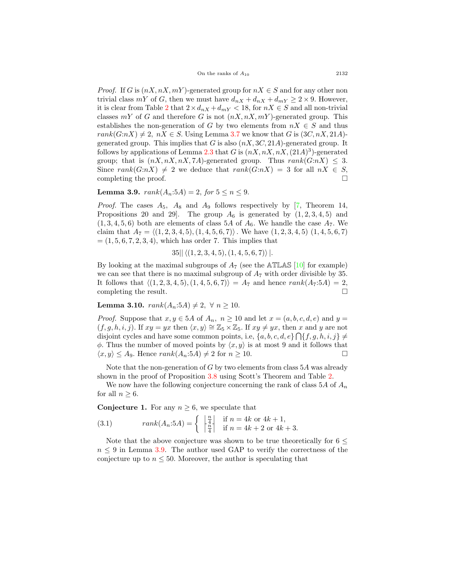*Proof.* If *G* is  $(nX, nX, mY)$ -generated group for  $nX \in S$  and for any other non trivial class  $mY$  of *G*, then we must have  $d_{nX} + d_{nX} + d_{mY} \geq 2 \times 9$ . However, it is clear from Table [2](#page-6-1) that  $2 \times d_{nX} + d_{mY} < 18$ , for  $nX \in S$  and all non-trivial classes  $mY$  of *G* and therefore *G* is not  $(nX, nX, mY)$ -generated group. This establishes the non-generation of *G* by two elements from  $nX \in S$  and thus  $rank(G: nX) \neq 2$ ,  $nX \in S$ . Using Lemma [3.7](#page-7-0) we know that *G* is  $(3C, nX, 21A)$ generated group. This implies that *G* is also  $(nX, 3C, 21A)$ -generated group. It follows by applications of Lemma [2.3](#page-3-0) that *G* is (*nX, nX, nX,*(21*A*) 3 )-generated group; that is  $(nX, nX, nX, 7A)$ -generated group. Thus  $rank(G:nX) \leq 3$ . Since  $rank(G:nX) \neq 2$  we deduce that  $rank(G:nX) = 3$  for all  $nX \in S$ , completing the proof.  $\Box$ 

<span id="page-8-0"></span>**Lemma 3.9.**  $rank(A_n:5A) = 2$ ,  $for\ 5 \leq n \leq 9$ .

*Proof.* The cases  $A_5$ ,  $A_8$  and  $A_9$  follows respectively by [[7,](#page-10-9) Theorem 14, Propositions 20 and 29. The group  $A_6$  is generated by  $(1, 2, 3, 4, 5)$  and  $(1, 3, 4, 5, 6)$  both are elements of class 5*A* of  $A_6$ . We handle the case  $A_7$ . We claim that  $A_7 = \langle (1, 2, 3, 4, 5), (1, 4, 5, 6, 7) \rangle$ . We have  $(1, 2, 3, 4, 5), (1, 4, 5, 6, 7)$  $=(1, 5, 6, 7, 2, 3, 4)$ , which has order 7. This implies that

$$
35|| \langle (1,2,3,4,5), (1,4,5,6,7) \rangle |.
$$

By looking at the maximal subgroups of  $A_7$  (see the ATLAS [[10\]](#page-10-10) for example) we can see that there is no maximal subgroup of  $A<sub>7</sub>$  with order divisible by 35. It follows that  $\langle (1, 2, 3, 4, 5), (1, 4, 5, 6, 7) \rangle = A_7$  and hence  $rank(A_7:5A) = 2$ , completing the result.  $\Box$ 

**Lemma 3.10.**  $rank(A_n:5A) ≠ 2, \forall n ≥ 10.$ 

*Proof.* Suppose that  $x, y \in 5A$  of  $A_n$ ,  $n \ge 10$  and let  $x = (a, b, c, d, e)$  and  $y =$  $(f, g, h, i, j)$ *.* If  $xy = yx$  then  $\langle x, y \rangle \cong \mathbb{Z}_5 \times \mathbb{Z}_5$ *.* If  $xy \neq yx$ *,* then *x* and *y* are not disjoint cycles and have some common points, i.e,  $\{a, b, c, d, e\} \cap \{f, g, h, i, j\} \neq$  $φ$ . Thus the number of moved points by  $\langle x, y \rangle$  is at most 9 and it follows that  $\langle x, y \rangle \leq A_9$ . Hence  $rank(A_n:5A) \neq 2$  for  $n \geq 10$ .

Note that the non-generation of *G* by two elements from class 5*A* was already shown in the proof of Proposition [3.8](#page-7-1) using Scott's Theorem and Table [2.](#page-6-1)

We now have the following conjecture concerning the rank of class  $5A$  of  $A_n$ for all  $n \geq 6$ *.* 

**Conjecture 1.** For any  $n \geq 6$ , we speculate that

(3.1) 
$$
rank(A_n:5A) = \begin{cases} \begin{array}{c} \frac{n}{4} \\ \frac{n}{4} \end{array} & \text{if } n = 4k \text{ or } 4k + 1, \\ \text{if } n = 4k + 2 \text{ or } 4k + 3. \end{cases}
$$

Note that the above conjecture was shown to be true theoretically for 6 *≤*  $n \leq 9$  in Lemma [3.9.](#page-8-0) The author used GAP to verify the correctness of the conjecture up to  $n \leq 50$ . Moreover, the author is speculating that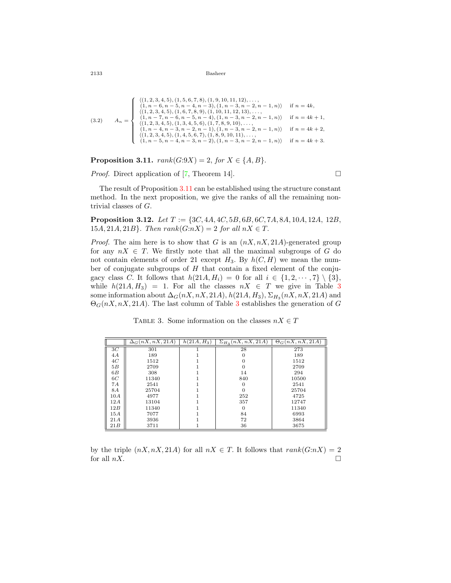$$
(3.2) \qquad A_n = \begin{cases} \n\langle (1, 2, 3, 4, 5), (1, 5, 6, 7, 8), (1, 9, 10, 11, 12), \dots, \\
\langle 1, n-6, n-5, n-4, n-3), (1, n-3, n-2, n-1, n) \rangle & \text{if } n = 4k, \\
\langle (1, 2, 3, 4, 5), (1, 6, 7, 8, 9), (1, 10, 11, 12, 13), \dots, \\
\langle 1, n-7, n-6, n-5, n-4), (1, n-3, n-2, n-1, n) \rangle & \text{if } n = 4k+1, \\
\langle (1, 2, 3, 4, 5), (1, 3, 4, 5, 6), (1, 7, 8, 9, 10), \dots, \\
\langle 1, n-4, n-3, n-2, n-1), (1, n-3, n-2, n-1, n) \rangle & \text{if } n = 4k+2, \\
\langle (1, 2, 3, 4, 5), (1, 4, 5, 6, 7), (1, 8, 9, 10), 11), \dots, \\
\langle 1, n-5, n-4, n-3, n-2), (1, n-3, n-2, n-1, n) \rangle & \text{if } n = 4k+3. \n\end{cases}
$$

<span id="page-9-0"></span>**Proposition 3.11.**  $rank(G:9X) = 2$ ,  $for X \in \{A, B\}$ .

*Proof.* Direct application of  $[7,$  $[7,$  Theorem 14].

The result of Proposition [3.11](#page-9-0) can be established using the structure constant method. In the next proposition, we give the ranks of all the remaining nontrivial classes of *G.*

<span id="page-9-2"></span>**Proposition 3.12.** *Let T* := *{*3*C,* 4*A,* 4*C,* 5*B,* 6*B,* 6*C,* 7*A,* 8*A,* 10*A,* 12*A,* 12*B,* 15*A*, 21*A*, 21*B*}*. Then*  $rank(G: nX) = 2$  *for all*  $nX \in T$ *.* 

*Proof.* The aim here is to show that *G* is an (*nX, nX,* 21*A*)-generated group for any  $nX \in T$ . We firstly note that all the maximal subgroups of *G* do not contain elements of order 21 except  $H_3$ . By  $h(C, H)$  we mean the number of conjugate subgroups of *H* that contain a fixed element of the conjugacy class *C*. It follows that  $h(21A, H_i) = 0$  for all  $i \in \{1, 2, \dots, 7\} \setminus \{3\}$ , while  $h(21A, H_3) = 1$  $h(21A, H_3) = 1$  $h(21A, H_3) = 1$ . For all the classes  $nX \in T$  we give in Table 3 some information about  $\Delta_G(nX, nX, 21A)$ ,  $h(21A, H_3)$ ,  $\Sigma_{H_3}(nX, nX, 21A)$  and  $\Theta_G(nX, nX, 21A)$ . The last column of Table [3](#page-9-1) establishes the generation of *G* 

<span id="page-9-1"></span>TABLE 3. Some information on the classes  $nX \in T$ 

|                | $\Delta_G(nX, nX, 21A)$ | $\overline{h(21A,H_3)}$ | $\Sigma_{H_2}(nX, nX, 21A)$ | $\Theta_G(nX, nX, \overline{21A})$ |
|----------------|-------------------------|-------------------------|-----------------------------|------------------------------------|
| 3 <sup>C</sup> | 301                     |                         | 28                          | 273                                |
| 4A             | 189                     |                         |                             | 189                                |
| 4C             | 1512                    |                         |                             | 1512                               |
| 5B             | 2709                    |                         |                             | 2709                               |
| 6B             | 308                     |                         | 14                          | 294                                |
| 6C             | 11340                   |                         | 840                         | 10500                              |
| 7Α             | 2541                    |                         |                             | 2541                               |
| 8A             | 25704                   |                         |                             | 25704                              |
| 10A            | 4977                    |                         | 252                         | 4725                               |
| 12A            | 13104                   |                         | 357                         | 12747                              |
| 12B            | 11340                   |                         |                             | 11340                              |
| 15A            | 7077                    |                         | 84                          | 6993                               |
| 21A            | 3936                    |                         | 72                          | 3864                               |
| 21B            | 3711                    |                         | 36                          | 3675                               |

by the triple  $(nX, nX, 21A)$  for all  $nX \in T$ . It follows that  $rank(G:nX) = 2$ for all  $nX$ .  $\Box$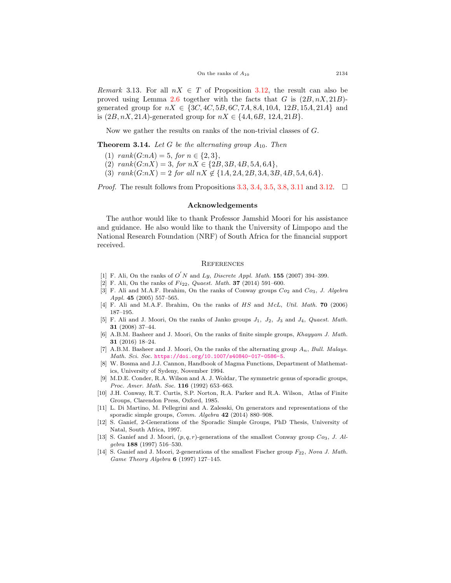*Remark* 3.13. For all  $nX \in T$  of Proposition [3.12](#page-9-2), the result can also be proved using Lemma [2.6](#page-4-2) together with the facts that *G* is  $(2B, nX, 21B)$ generated group for  $nX \in \{3C, 4C, 5B, 6C, 7A, 8A, 10A, 12B, 15A, 21A\}$  and is  $(2B, nX, 21A)$ -generated group for  $nX \in \{4A, 6B, 12A, 21B\}$ .

Now we gather the results on ranks of the non-trivial classes of *G.*

**Theorem 3.14.** Let  $G$  be the alternating group  $A_{10}$ . Then

- $(1)$   $rank(G:nA) = 5$ ,  $for n \in \{2,3\},$
- $(2)$   $rank(G:nX) = 3$ ,  $for nX \in \{2B, 3B, 4B, 5A, 6A\},$
- $(3)$   $rank(G: nX) = 2$  *for all*  $nX \notin \{1A, 2A, 2B, 3A, 3B, 4B, 5A, 6A\}$ .

*Proof.* The result follows from Propositions [3.3,](#page-6-4) [3.4,](#page-7-2) [3.5](#page-7-3), [3.8](#page-7-1), [3.11](#page-9-0) and [3.12.](#page-9-2)  $\Box$ 

#### **Acknowledgements**

The author would like to thank Professor Jamshid Moori for his assistance and guidance. He also would like to thank the University of Limpopo and the National Research Foundation (NRF) of South Africa for the financial support received.

#### **REFERENCES**

- <span id="page-10-1"></span>[1] F. Ali, On the ranks of  $O'N$  and *Ly*, *Discrete Appl. Math.* **155** (2007) 394–399.
- [2] F. Ali, On the ranks of *F i*22, *Quaest. Math.* **37** (2014) 591–600.
- [3] F. Ali and M.A.F. Ibrahim, On the ranks of Conway groups *Co*<sup>2</sup> and *Co*3, *J. Algebra Appl.* **45** (2005) 557–565.
- [4] F. Ali and M.A.F. Ibrahim, On the ranks of *HS* and *McL*, *Util. Math.* **70** (2006) 187–195.
- <span id="page-10-6"></span>[5] F. Ali and J. Moori, On the ranks of Janko groups *J*1*, J*2*, J*<sup>3</sup> and *J*4, *Quaest. Math.* **31** (2008) 37–44.
- <span id="page-10-2"></span>[6] A.B.M. Basheer and J. Moori, On the ranks of finite simple groups, *Khayyam J. Math.* **31** (2016) 18–24.
- <span id="page-10-9"></span>[7] A.B.M. Basheer and J. Moori, On the ranks of the alternating group *An*, *Bull. Malays. Math. Sci. Soc.* <https://doi.org/10.1007/s40840-017-0586-5>.
- <span id="page-10-5"></span>[8] W. Bosma and J.J. Cannon, Handbook of Magma Functions, Department of Mathematics, University of Sydeny, November 1994.
- <span id="page-10-7"></span>[9] M.D.E. Conder, R.A. Wilson and A. J. Woldar, The symmetric genus of sporadic groups, *Proc. Amer. Math. Soc.* **116** (1992) 653–663.
- <span id="page-10-10"></span>[10] J.H. Conway, R.T. Curtis, S.P. Norton, R.A. Parker and R.A. Wilson, Atlas of Finite Groups, Clarendon Press, Oxford, 1985.
- <span id="page-10-0"></span>[11] L. Di Martino, M. Pellegrini and A. Zalesski, On generators and representations of the sporadic simple groups, *Comm. Algebra* **42** (2014) 880–908.
- <span id="page-10-8"></span>[12] S. Ganief, 2-Generations of the Sporadic Simple Groups, PhD Thesis, University of Natal, South Africa, 1997.
- <span id="page-10-3"></span>[13] S. Ganief and J. Moori, (*p, q, r*)-generations of the smallest Conway group *Co*3, *J. Algebra* **188** (1997) 516–530.
- <span id="page-10-4"></span>[14] S. Ganief and J. Moori, 2-generations of the smallest Fischer group *F*22, *Nova J. Math. Game Theory Algebra* **6** (1997) 127–145.